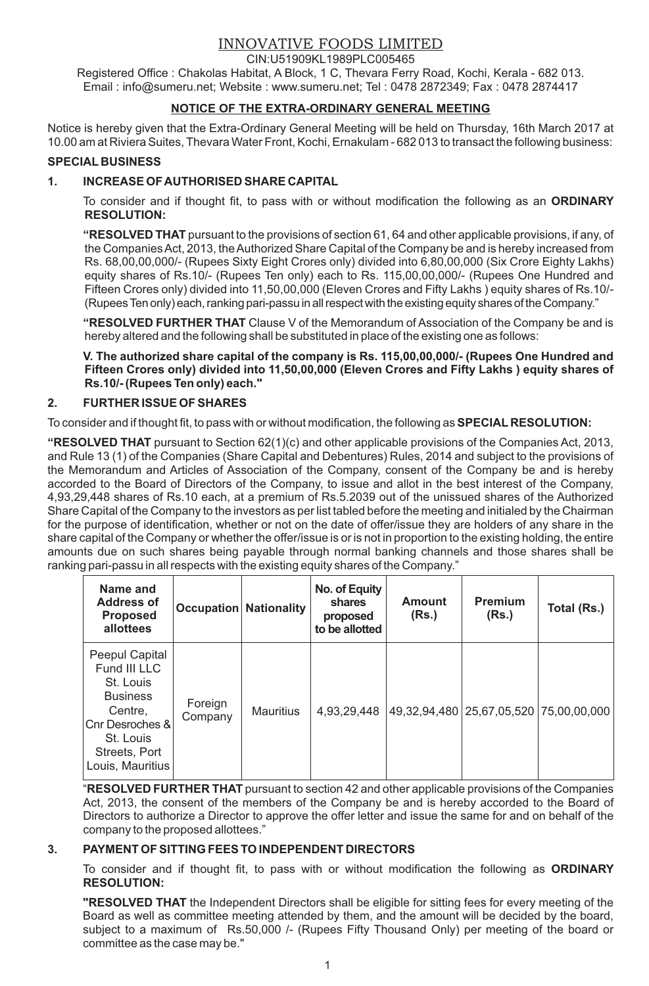# INNOVATIVE FOODS LIMITED

CIN:U51909KL1989PLC005465

Registered Office : Chakolas Habitat, A Block, 1 C, Thevara Ferry Road, Kochi, Kerala - 682 013. Email : info@sumeru.net; Website : www.sumeru.net; Tel : 0478 2872349; Fax : 0478 2874417

## **NOTICE OF THE EXTRA-ORDINARY GENERAL MEETING**

Notice is hereby given that the Extra-Ordinary General Meeting will be held on Thursday, 16th March 2017 at 10.00 am at Riviera Suites, Thevara Water Front, Kochi, Ernakulam - 682 013 to transact the following business:

### **SPECIAL BUSINESS**

### **1. I NCREASE OF AUTHORISED SHARE CAPITAL**

To consider and if thought fit, to pass with or without modification the following as an **ORDINARY RESOLUTION:**

**"RESOLVED THAT** pursuant to the provisions of section 61, 64 and other applicable provisions, if any, of the Companies Act, 2013, the Authorized Share Capital of the Company be and is hereby increased from Rs. 68,00,00,000/- (Rupees Sixty Eight Crores only) divided into 6,80,00,000 (Six Crore Eighty Lakhs) equity shares of Rs.10/- (Rupees Ten only) each to Rs. 115,00,00,000/- (Rupees One Hundred and Fifteen Crores only) divided into 11,50,00,000 (Eleven Crores and Fifty Lakhs ) equity shares of Rs.10/- (Rupees Ten only) each, ranking pari-passu in all respect with the existing equity shares of the Company."

**"RESOLVED FURTHER THAT** Clause V of the Memorandum of Association of the Company be and is hereby altered and the following shall be substituted in place of the existing one as follows:

**V. The authorized share capital of the company is Rs. 115,00,00,000/- (Rupees One Hundred and Fifteen Crores only) divided into 11,50,00,000 (Eleven Crores and Fifty Lakhs ) equity shares of Rs.10/- (Rupees Ten only) each."**

### **2. FURTHER ISSUE OF SHARES**

To consider and if thought fit, to pass with or without modification, the following as **SPECIAL RESOLUTION:**

**"RESOLVED THAT** pursuant to Section 62(1)(c) and other applicable provisions of the Companies Act, 2013, and Rule 13 (1) of the Companies (Share Capital and Debentures) Rules, 2014 and subject to the provisions of the Memorandum and Articles of Association of the Company, consent of the Company be and is hereby accorded to the Board of Directors of the Company, to issue and allot in the best interest of the Company, 4,93,29,448 shares of Rs.10 each, at a premium of Rs.5.2039 out of the unissued shares of the Authorized Share Capital of the Company to the investors as per list tabled before the meeting and initialed by the Chairman for the purpose of identification, whether or not on the date of offer/issue they are holders of any share in the share capital of the Company or whether the offer/issue is or is not in proportion to the existing holding, the entire amounts due on such shares being payable through normal banking channels and those shares shall be ranking pari-passu in all respects with the existing equity shares of the Company."

| Name and<br>Address of<br><b>Proposed</b><br>allottees                                                                                         |                    | <b>Occupation Nationality</b> | No. of Equity<br>shares<br>proposed<br>to be allotted | Amount<br>(Rs.) | Premium<br>(Rs.)                           | Total (Rs.) |
|------------------------------------------------------------------------------------------------------------------------------------------------|--------------------|-------------------------------|-------------------------------------------------------|-----------------|--------------------------------------------|-------------|
| Peepul Capital<br>Fund III LLC<br>St. Louis<br><b>Business</b><br>Centre,<br>Cnr Desroches &<br>St. Louis<br>Streets, Port<br>Louis, Mauritius | Foreign<br>Company | <b>Mauritius</b>              | 4.93.29.448                                           |                 | 49,32,94,480   25,67,05,520   75,00,00,000 |             |

"**RESOLVED FURTHER THAT** pursuant to section 42 and other applicable provisions of the Companies Act, 2013, the consent of the members of the Company be and is hereby accorded to the Board of Directors to authorize a Director to approve the offer letter and issue the same for and on behalf of the company to the proposed allottees."

### **3. PAYMENT OF SITTING FEES TO INDEPENDENT DIRECTORS**

To consider and if thought fit, to pass with or without modification the following as **ORDINARY RESOLUTION:**

**"RESOLVED THAT** the Independent Directors shall be eligible for sitting fees for every meeting of the Board as well as committee meeting attended by them, and the amount will be decided by the board, subject to a maximum of Rs.50,000 /- (Rupees Fifty Thousand Only) per meeting of the board or committee as the case may be."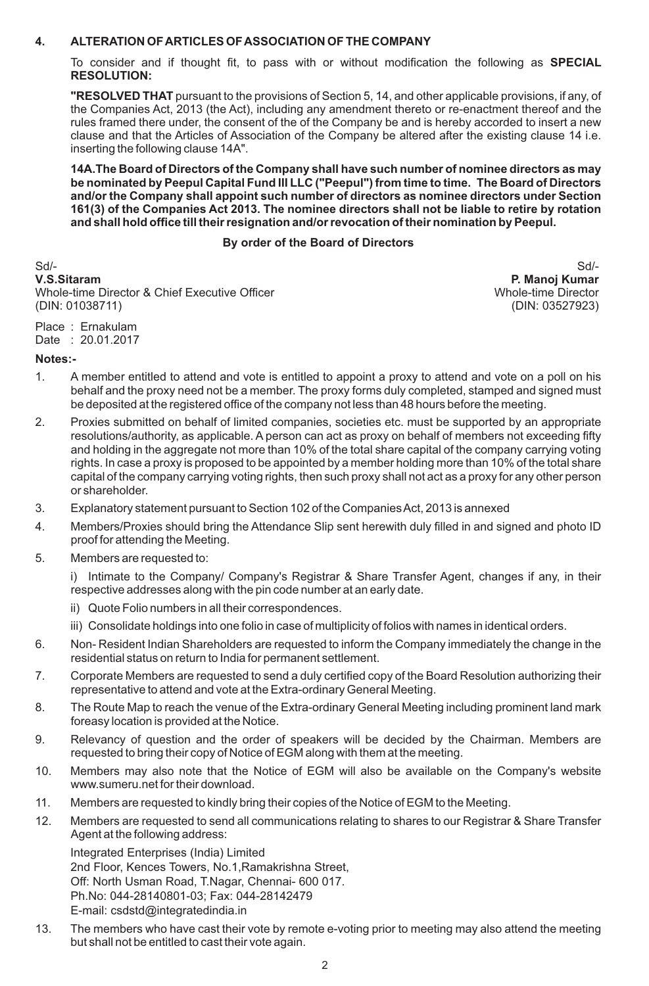### **4. ALTERATION OF ARTICLES OF ASSOCIATION OF THE COMPANY**

To consider and if thought fit, to pass with or without modification the following as **SPECIAL RESOLUTION:**

**"RESOLVED THAT** pursuant to the provisions of Section 5, 14, and other applicable provisions, if any, of the Companies Act, 2013 (the Act), including any amendment thereto or re-enactment thereof and the rules framed there under, the consent of the of the Company be and is hereby accorded to insert a new clause and that the Articles of Association of the Company be altered after the existing clause 14 i.e. inserting the following clause 14A".

**14A.The Board of Directors of the Company shall have such number of nominee directors as may be nominated by Peepul Capital Fund III LLC ("Peepul") from time to time. The Board of Directors and/or the Company shall appoint such number of directors as nominee directors under Section 161(3) of the Companies Act 2013. The nominee directors shall not be liable to retire by rotation and shall hold office till their resignation and/or revocation of their nomination by Peepul.**

### **By order of the Board of Directors**

Sd/- Sd/- **V.S.Sitaram P. Manoj Kumar** Whole-time Director & Chief Executive Officer Whole-time Director Whole-time Director (DIN: 01038711) (DIN: 03527923)

Place : Ernakulam Date : 20.01.2017

### **Notes:-**

- 1. A member entitled to attend and vote is entitled to appoint a proxy to attend and vote on a poll on his behalf and the proxy need not be a member. The proxy forms duly completed, stamped and signed must be deposited at the registered office of the company not less than 48 hours before the meeting.
- 2. Proxies submitted on behalf of limited companies, societies etc. must be supported by an appropriate resolutions/authority, as applicable. A person can act as proxy on behalf of members not exceeding fifty and holding in the aggregate not more than 10% of the total share capital of the company carrying voting rights. In case a proxy is proposed to be appointed by a member holding more than 10% of the total share capital of the company carrying voting rights, then such proxy shall not act as a proxy for any other person or shareholder.
- 3. Explanatory statement pursuant to Section 102 of the Companies Act, 2013 is annexed
- 4. Members/Proxies should bring the Attendance Slip sent herewith duly filled in and signed and photo ID proof for attending the Meeting.
- 5. Members are requested to:

i) Intimate to the Company/ Company's Registrar & Share Transfer Agent, changes if any, in their respective addresses along with the pin code number at an early date.

- ii) Quote Folio numbers in all their correspondences.
- iii) Consolidate holdings into one folio in case of multiplicity of folios with names in identical orders.
- 6. Non- Resident Indian Shareholders are requested to inform the Company immediately the change in the residential status on return to India for permanent settlement.
- 7. Corporate Members are requested to send a duly certified copy of the Board Resolution authorizing their representative to attend and vote at the Extra-ordinary General Meeting.
- 8. The Route Map to reach the venue of the Extra-ordinary General Meeting including prominent land mark foreasy location is provided at the Notice.
- 9. Relevancy of question and the order of speakers will be decided by the Chairman. Members are requested to bring their copy of Notice of EGM along with them at the meeting.
- 10. Members may also note that the Notice of EGM will also be available on the Company's website www.sumeru.net for their download.
- 11. Members are requested to kindly bring their copies of the Notice of EGM to the Meeting.
- 12. Members are requested to send all communications relating to shares to our Registrar & Share Transfer Agent at the following address:

Integrated Enterprises (India) Limited 2nd Floor, Kences Towers, No.1,Ramakrishna Street, Off: North Usman Road, T.Nagar, Chennai- 600 017. Ph.No: 044-28140801-03; Fax: 044-28142479 E-mail: csdstd@integratedindia.in

13. The members who have cast their vote by remote e-voting prior to meeting may also attend the meeting but shall not be entitled to cast their vote again.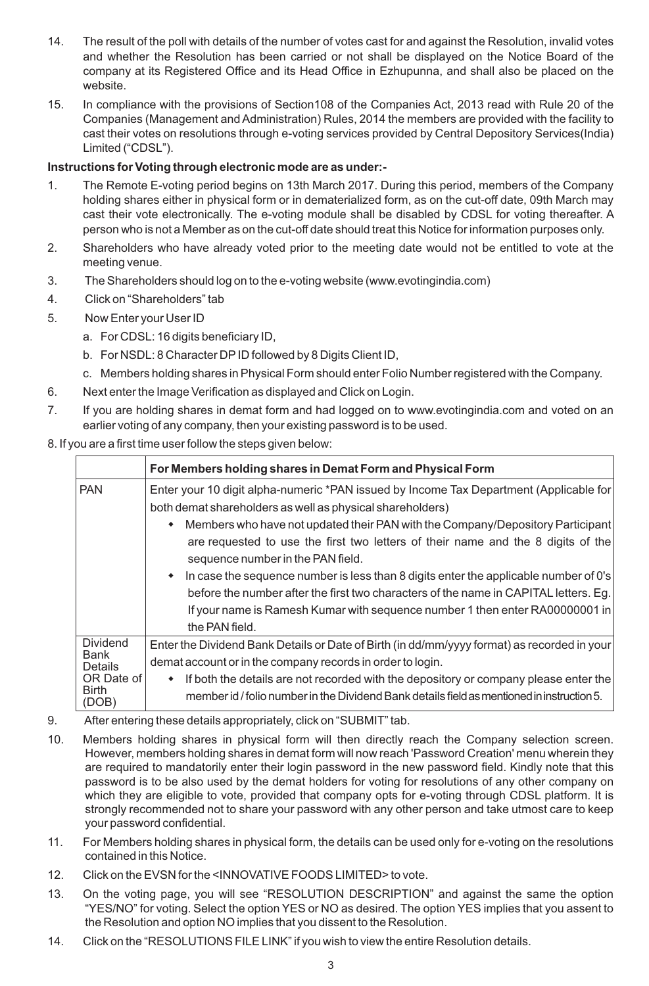- 14. The result of the poll with details of the number of votes cast for and against the Resolution, invalid votes and whether the Resolution has been carried or not shall be displayed on the Notice Board of the company at its Registered Office and its Head Office in Ezhupunna, and shall also be placed on the website.
- 15. In compliance with the provisions of Section108 of the Companies Act, 2013 read with Rule 20 of the Companies (Management and Administration) Rules, 2014 the members are provided with the facility to cast their votes on resolutions through e-voting services provided by Central Depository Services(India) Limited ("CDSL").

## **Instructions for Voting through electronic mode are as under:-**

- 1. The Remote E-voting period begins on 13th March 2017. During this period, members of the Company holding shares either in physical form or in dematerialized form, as on the cut-off date, 09th March may cast their vote electronically. The e-voting module shall be disabled by CDSL for voting thereafter. A person who is not a Member as on the cut-off date should treat this Notice for information purposes only.
- 2. Shareholders who have already voted prior to the meeting date would not be entitled to vote at the meeting venue.
- 3. The Shareholders should log on to the e-voting website (www.evotingindia.com)
- 4. Click on "Shareholders" tab
- 5. Now Enter your User ID
	- a. For CDSL: 16 digits beneficiary ID,
	- b. For NSDL: 8 Character DPID followed by 8 Digits Client ID,
	- c. Members holding shares in Physical Form should enter Folio Number registered with the Company.
- 6. Next enter the Image Verification as displayed and Click on Login.
- 7. If you are holding shares in demat form and had logged on to www.evotingindia.com and voted on an earlier voting of any company, then your existing password is to be used.

## 8. If you are a first time user follow the steps given below:

|                                                                           | For Members holding shares in Demat Form and Physical Form                                                                                                                                                                                                                                                                                                                                                                                                                                                                                                                                                                                                   |
|---------------------------------------------------------------------------|--------------------------------------------------------------------------------------------------------------------------------------------------------------------------------------------------------------------------------------------------------------------------------------------------------------------------------------------------------------------------------------------------------------------------------------------------------------------------------------------------------------------------------------------------------------------------------------------------------------------------------------------------------------|
| <b>PAN</b>                                                                | Enter your 10 digit alpha-numeric *PAN issued by Income Tax Department (Applicable for<br>both demat shareholders as well as physical shareholders)<br>• Members who have not updated their PAN with the Company/Depository Participant<br>are requested to use the first two letters of their name and the 8 digits of the<br>sequence number in the PAN field.<br>$\bullet$ In case the sequence number is less than 8 digits enter the applicable number of 0's<br>before the number after the first two characters of the name in CAPITAL letters. Eg.<br>If your name is Ramesh Kumar with sequence number 1 then enter RA00000001 in<br>the PAN field. |
| <b>Dividend</b><br>Bank<br><b>Details</b><br>OR Date of<br>Birth<br>'DOB) | Enter the Dividend Bank Details or Date of Birth (in dd/mm/yyyy format) as recorded in your<br>demat account or in the company records in order to login.<br>If both the details are not recorded with the depository or company please enter the<br>member id / folio number in the Dividend Bank details field as mentioned in instruction 5.                                                                                                                                                                                                                                                                                                              |

- 9. After entering these details appropriately, click on "SUBMIT" tab.
- 10. Members holding shares in physical form will then directly reach the Company selection screen. However, members holding shares in demat form will now reach 'Password Creation' menu wherein they are required to mandatorily enter their login password in the new password field. Kindly note that this password is to be also used by the demat holders for voting for resolutions of any other company on which they are eligible to vote, provided that company opts for e-voting through CDSL platform. It is strongly recommended not to share your password with any other person and take utmost care to keep your password confidential.
- 11. For Members holding shares in physical form, the details can be used only for e-voting on the resolutions contained in this Notice.
- 12. Click on the EVSN for the <INNOVATIVE FOODS LIMITED> to vote.
- 13. On the voting page, you will see "RESOLUTION DESCRIPTION" and against the same the option "YES/NO" for voting. Select the option YES or NO as desired. The option YES implies that you assent to the Resolution and option NO implies that you dissent to the Resolution.
- 14. Click on the "RESOLUTIONS FILE LINK" if you wish to view the entire Resolution details.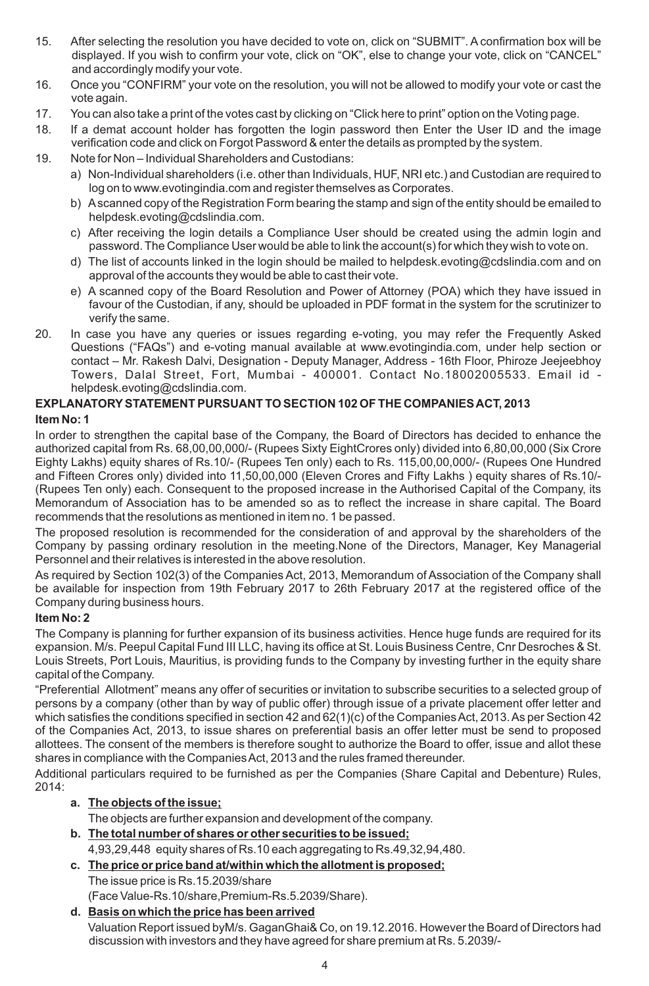- 15. After selecting the resolution you have decided to vote on, click on "SUBMIT". A confirmation box will be displayed. If you wish to confirm your vote, click on "OK", else to change your vote, click on "CANCEL" and accordingly modify your vote.
- 16. Once you "CONFIRM" your vote on the resolution, you will not be allowed to modify your vote or cast the vote again.
- 17. You can also take a print of the votes cast by clicking on "Click here to print" option on the Voting page.
- 18. If a demat account holder has forgotten the login password then Enter the User ID and the image verification code and click on Forgot Password & enter the details as prompted by the system.
- 19. Note for Non Individual Shareholders and Custodians:
	- a) Non-Individual shareholders (i.e. other than Individuals, HUF, NRI etc.) and Custodian are required to log on to www.evotingindia.com and register themselves as Corporates.
	- b) Ascanned copy of the Registration Form bearing the stamp and sign of the entity should be emailed to helpdesk.evoting@cdslindia.com.
	- c) After receiving the login details a Compliance User should be created using the admin login and password. The Compliance User would be able to link the account(s) for which they wish to vote on.
	- d) The list of accounts linked in the login should be mailed to helpdesk.evoting@cdslindia.com and on approval of the accounts they would be able to cast their vote.
	- e) A scanned copy of the Board Resolution and Power of Attorney (POA) which they have issued in favour of the Custodian, if any, should be uploaded in PDF format in the system for the scrutinizer to verify the same.
- 20. In case you have any queries or issues regarding e-voting, you may refer the Frequently Asked Questions ("FAQs") and e-voting manual available at www.evotingindia.com, under help section or contact – Mr. Rakesh Dalvi, Designation - Deputy Manager, Address - 16th Floor, Phiroze Jeejeebhoy Towers, Dalal Street, Fort, Mumbai - 400001. Contact No.18002005533. Email id helpdesk.evoting@cdslindia.com.

### **EXPLANATORYSTATEMENT PURSUANT TO SECTION 102 OF THE COMPANIES ACT, 2013 Item No: 1**

In order to strengthen the capital base of the Company, the Board of Directors has decided to enhance the authorized capital from Rs. 68,00,00,000/- (Rupees Sixty EightCrores only) divided into 6,80,00,000 (Six Crore Eighty Lakhs) equity shares of Rs.10/- (Rupees Ten only) each to Rs. 115,00,00,000/- (Rupees One Hundred and Fifteen Crores only) divided into 11,50,00,000 (Eleven Crores and Fifty Lakhs ) equity shares of Rs.10/- (Rupees Ten only) each. Consequent to the proposed increase in the Authorised Capital of the Company, its Memorandum of Association has to be amended so as to reflect the increase in share capital. The Board recommends that the resolutions as mentioned in item no. 1 be passed.

The proposed resolution is recommended for the consideration of and approval by the shareholders of the Company by passing ordinary resolution in the meeting.None of the Directors, Manager, Key Managerial Personnel and their relatives is interested in the above resolution.

As required by Section 102(3) of the Companies Act, 2013, Memorandum of Association of the Company shall be available for inspection from 19th February 2017 to 26th February 2017 at the registered office of the Company during business hours.

## **Item No: 2**

The Company is planning for further expansion of its business activities. Hence huge funds are required for its expansion. M/s. Peepul Capital Fund III LLC, having its office at St. Louis Business Centre, Cnr Desroches & St. Louis Streets, Port Louis, Mauritius, is providing funds to the Company by investing further in the equity share capital of the Company.

"Preferential Allotment" means any offer of securities or invitation to subscribe securities to a selected group of persons by a company (other than by way of public offer) through issue of a private placement offer letter and which satisfies the conditions specified in section 42 and 62(1)(c) of the Companies Act, 2013. As per Section 42 of the Companies Act, 2013, to issue shares on preferential basis an offer letter must be send to proposed allottees. The consent of the members is therefore sought to authorize the Board to offer, issue and allot these shares in compliance with the Companies Act, 2013 and the rules framed thereunder.

Additional particulars required to be furnished as per the Companies (Share Capital and Debenture) Rules, 2014:

## **a. The objects of the issue;**

The objects are further expansion and development of the company.

## **b. The total number of shares or other securities to be issued;**

4,93,29,448 equity shares of Rs.10 each aggregating to Rs.49,32,94,480.

- **c. The price or price band at/within which the allotment is proposed;**
- The issue price is Rs.15.2039/share (Face Value-Rs.10/share,Premium-Rs.5.2039/Share).

## **d. Basis on which the price has been arrived**

Valuation Report issued byM/s. GaganGhai& Co, on 19.12.2016. However the Board of Directors had discussion with investors and they have agreed for share premium at Rs. 5.2039/-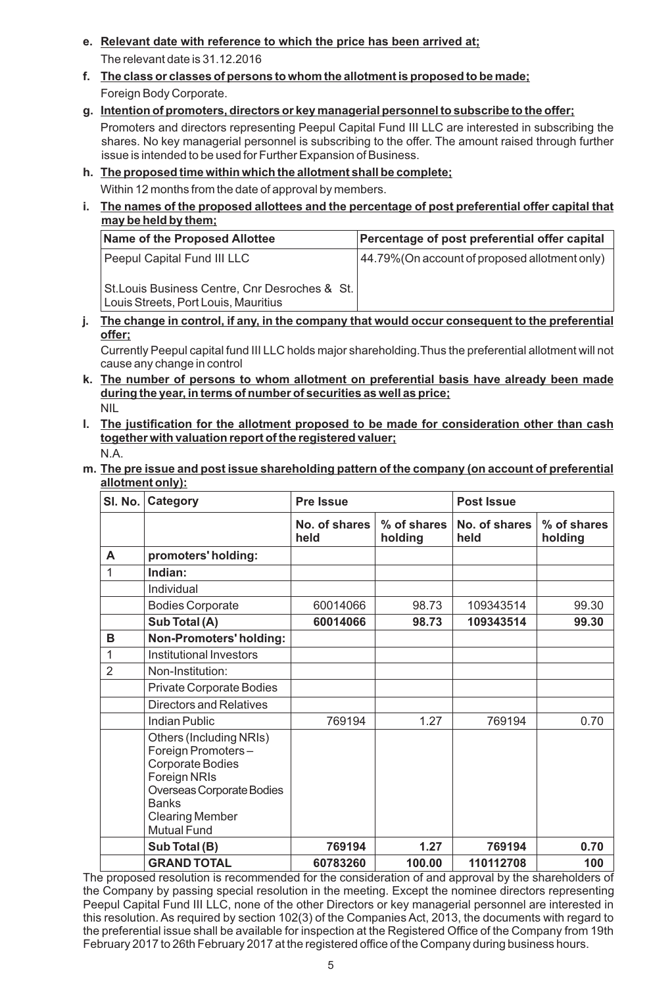- **e. Relevant date with reference to which the price has been arrived at;** The relevant date is 31.12.2016
- **f. The class or classes of persons to whom the allotment is proposed to be made;** Foreign Body Corporate.
- **g. Intention of promoters, directors or key managerial personnel to subscribe to the offer;** Promoters and directors representing Peepul Capital Fund III LLC are interested in subscribing the shares. No key managerial personnel is subscribing to the offer. The amount raised through further issue is intended to be used for Further Expansion of Business.

## **h. The proposed time within which the allotment shall be complete;**

Within 12 months from the date of approval by members.

**i. The names of the proposed allottees and the percentage of post preferential offer capital that may be held by them;**

| Name of the Proposed Allottee                                                                                         | Percentage of post preferential offer capital  |
|-----------------------------------------------------------------------------------------------------------------------|------------------------------------------------|
| Peepul Capital Fund III LLC<br>St. Louis Business Centre, Cnr Desroches & St.<br>Louis Streets, Port Louis, Mauritius | 44.79% (On account of proposed allotment only) |

#### **j. The change in control, if any, in the company that would occur consequent to the preferential offer;**

Currently Peepul capital fund III LLC holds major shareholding.Thus the preferential allotment will not cause any change in control

- **k. The number of persons to whom allotment on preferential basis have already been made during the year, in terms of number of securities as well as price;** NIL
- **l. The justification for the allotment proposed to be made for consideration other than cash together with valuation report of the registered valuer;** N.A.

#### **m. The pre issue and post issue shareholding pattern of the company (on account of preferential allotment only):**

| SI. No.        | Category                                                                                                                                                                       | <b>Pre Issue</b>      |                        | <b>Post Issue</b>     |                        |
|----------------|--------------------------------------------------------------------------------------------------------------------------------------------------------------------------------|-----------------------|------------------------|-----------------------|------------------------|
|                |                                                                                                                                                                                | No. of shares<br>held | % of shares<br>holding | No. of shares<br>held | % of shares<br>holding |
| A              | promoters' holding:                                                                                                                                                            |                       |                        |                       |                        |
| 1              | Indian:                                                                                                                                                                        |                       |                        |                       |                        |
|                | Individual                                                                                                                                                                     |                       |                        |                       |                        |
|                | <b>Bodies Corporate</b>                                                                                                                                                        | 60014066              | 98.73                  | 109343514             | 99.30                  |
|                | Sub Total (A)                                                                                                                                                                  | 60014066              | 98.73                  | 109343514             | 99.30                  |
| B              | Non-Promoters' holding:                                                                                                                                                        |                       |                        |                       |                        |
| 1              | Institutional Investors                                                                                                                                                        |                       |                        |                       |                        |
| $\overline{2}$ | Non-Institution:                                                                                                                                                               |                       |                        |                       |                        |
|                | Private Corporate Bodies                                                                                                                                                       |                       |                        |                       |                        |
|                | <b>Directors and Relatives</b>                                                                                                                                                 |                       |                        |                       |                        |
|                | Indian Public                                                                                                                                                                  | 769194                | 1.27                   | 769194                | 0.70                   |
|                | Others (Including NRIs)<br>Foreign Promoters-<br>Corporate Bodies<br>Foreign NRIs<br>Overseas Corporate Bodies<br><b>Banks</b><br><b>Clearing Member</b><br><b>Mutual Fund</b> |                       |                        |                       |                        |
|                | Sub Total (B)                                                                                                                                                                  | 769194                | 1.27                   | 769194                | 0.70                   |
|                | <b>GRAND TOTAL</b>                                                                                                                                                             | 60783260              | 100.00                 | 110112708             | 100                    |

The proposed resolution is recommended for the consideration of and approval by the shareholders of the Company by passing special resolution in the meeting. Except the nominee directors representing Peepul Capital Fund III LLC, none of the other Directors or key managerial personnel are interested in this resolution. As required by section 102(3) of the Companies Act, 2013, the documents with regard to the preferential issue shall be available for inspection at the Registered Office of the Company from 19th February 2017 to 26th February 2017 at the registered office of the Company during business hours.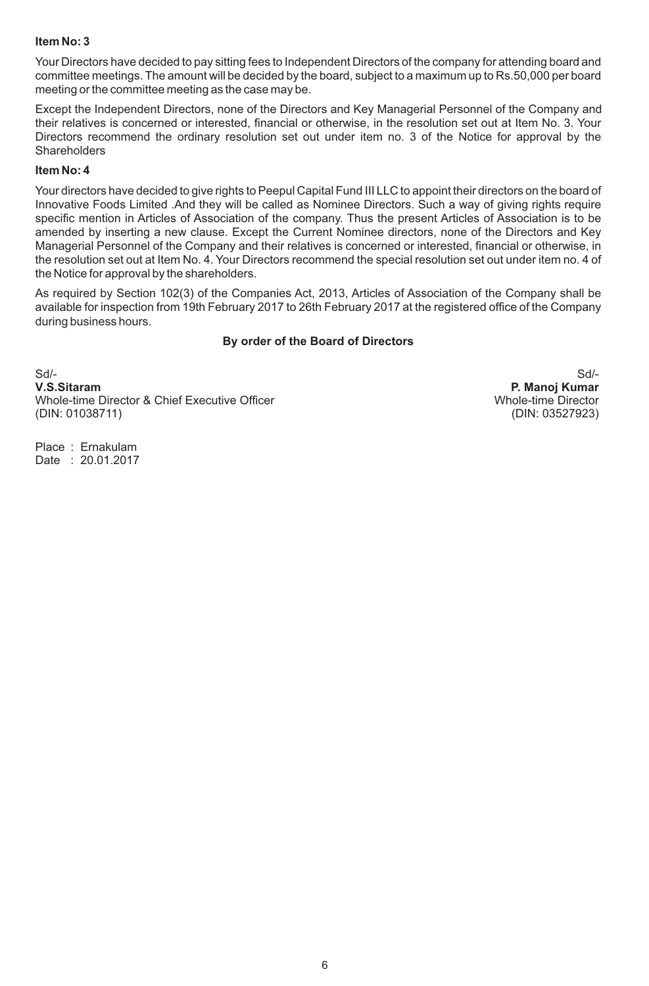### **Item No: 3**

Your Directors have decided to pay sitting fees to Independent Directors of the company for attending board and committee meetings. The amount will be decided by the board, subject to a maximum up to Rs.50,000 per board meeting or the committee meeting as the case may be.

Except the Independent Directors, none of the Directors and Key Managerial Personnel of the Company and their relatives is concerned or interested, financial or otherwise, in the resolution set out at Item No. 3. Your Directors recommend the ordinary resolution set out under item no. 3 of the Notice for approval by the **Shareholders** 

### **Item No: 4**

Your directors have decided to give rights to Peepul Capital Fund III LLC to appoint their directors on the board of Innovative Foods Limited .And they will be called as Nominee Directors. Such a way of giving rights require specific mention in Articles of Association of the company. Thus the present Articles of Association is to be amended by inserting a new clause. Except the Current Nominee directors, none of the Directors and Key Managerial Personnel of the Company and their relatives is concerned or interested, financial or otherwise, in the resolution set out at Item No. 4. Your Directors recommend the special resolution set out under item no. 4 of the Notice for approval by the shareholders.

As required by Section 102(3) of the Companies Act, 2013, Articles of Association of the Company shall be available for inspection from 19th February 2017 to 26th February 2017 at the registered office of the Company during business hours.

### **By order of the Board of Directors**

Sd/- Sd/- **V.S.Sitaram P. Manoj Kumar** Whole-time Director & Chief Executive Officer Whole-time Director Whole-time Director (DIN: 01038711) (DIN: 03527923)

Place : Ernakulam Date : 20.01.2017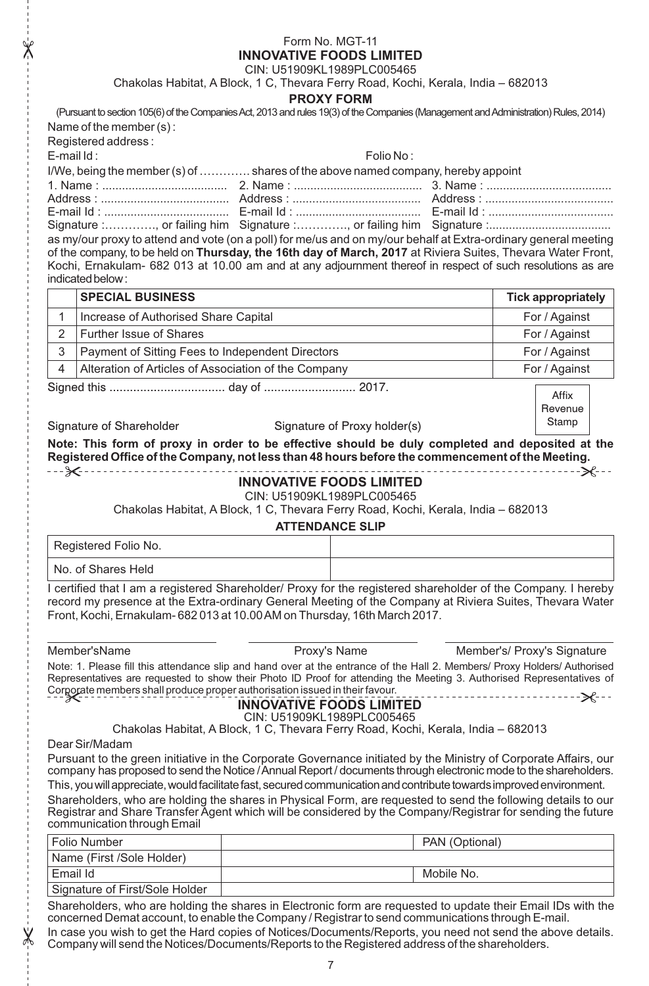## Form No. MGT-11 **INNOVATIVE FOODS LIMITED**

CIN: U51909KL1989PLC005465

|                |                                                                                                                                                                                                                   | Chakolas Habitat, A Block, 1 C, Thevara Ferry Road, Kochi, Kerala, India - 682013                               |                              |                |                             |  |
|----------------|-------------------------------------------------------------------------------------------------------------------------------------------------------------------------------------------------------------------|-----------------------------------------------------------------------------------------------------------------|------------------------------|----------------|-----------------------------|--|
|                |                                                                                                                                                                                                                   | <b>PROXY FORM</b>                                                                                               |                              |                |                             |  |
|                | (Pursuant to section 105(6) of the Companies Act, 2013 and rules 19(3) of the Companies (Management and Administration) Rules, 2014)                                                                              |                                                                                                                 |                              |                |                             |  |
|                | Name of the member (s):                                                                                                                                                                                           |                                                                                                                 |                              |                |                             |  |
|                | Registered address:                                                                                                                                                                                               |                                                                                                                 |                              |                |                             |  |
| E-mail Id:     |                                                                                                                                                                                                                   |                                                                                                                 | Folio No:                    |                |                             |  |
|                | I/We, being the member (s) of  shares of the above named company, hereby appoint                                                                                                                                  |                                                                                                                 |                              |                |                             |  |
|                |                                                                                                                                                                                                                   |                                                                                                                 |                              |                |                             |  |
|                |                                                                                                                                                                                                                   |                                                                                                                 |                              |                |                             |  |
|                |                                                                                                                                                                                                                   |                                                                                                                 |                              |                |                             |  |
|                | as my/our proxy to attend and vote (on a poll) for me/us and on my/our behalf at Extra-ordinary general meeting                                                                                                   |                                                                                                                 |                              |                |                             |  |
|                | of the company, to be held on Thursday, the 16th day of March, 2017 at Riviera Suites, Thevara Water Front,                                                                                                       |                                                                                                                 |                              |                |                             |  |
|                | Kochi, Ernakulam- 682 013 at 10.00 am and at any adjournment thereof in respect of such resolutions as are                                                                                                        |                                                                                                                 |                              |                |                             |  |
|                | indicated below:                                                                                                                                                                                                  |                                                                                                                 |                              |                |                             |  |
|                | <b>SPECIAL BUSINESS</b>                                                                                                                                                                                           |                                                                                                                 |                              |                | <b>Tick appropriately</b>   |  |
| 1              | Increase of Authorised Share Capital                                                                                                                                                                              |                                                                                                                 |                              |                | For / Against               |  |
| $\overline{2}$ | Further Issue of Shares                                                                                                                                                                                           |                                                                                                                 |                              |                | For / Against               |  |
| 3              | Payment of Sitting Fees to Independent Directors                                                                                                                                                                  |                                                                                                                 |                              |                |                             |  |
|                |                                                                                                                                                                                                                   |                                                                                                                 |                              |                | For / Against               |  |
| 4              | Alteration of Articles of Association of the Company                                                                                                                                                              |                                                                                                                 |                              |                | For / Against               |  |
|                |                                                                                                                                                                                                                   |                                                                                                                 |                              |                | Affix                       |  |
|                |                                                                                                                                                                                                                   |                                                                                                                 |                              |                | Revenue                     |  |
|                | Signature of Shareholder                                                                                                                                                                                          |                                                                                                                 | Signature of Proxy holder(s) |                | Stamp                       |  |
|                | Note: This form of proxy in order to be effective should be duly completed and deposited at the                                                                                                                   |                                                                                                                 |                              |                |                             |  |
|                | Registered Office of the Company, not less than 48 hours before the commencement of the Meeting.                                                                                                                  |                                                                                                                 |                              |                |                             |  |
|                |                                                                                                                                                                                                                   | <b>INNOVATIVE FOODS LIMITED</b>                                                                                 |                              |                |                             |  |
|                |                                                                                                                                                                                                                   | CIN: U51909KL1989PLC005465                                                                                      |                              |                |                             |  |
|                |                                                                                                                                                                                                                   | Chakolas Habitat, A Block, 1 C, Thevara Ferry Road, Kochi, Kerala, India - 682013                               |                              |                |                             |  |
|                |                                                                                                                                                                                                                   | <b>ATTENDANCE SLIP</b>                                                                                          |                              |                |                             |  |
|                | Registered Folio No.                                                                                                                                                                                              |                                                                                                                 |                              |                |                             |  |
|                |                                                                                                                                                                                                                   |                                                                                                                 |                              |                |                             |  |
|                | No. of Shares Held                                                                                                                                                                                                |                                                                                                                 |                              |                |                             |  |
|                | I certified that I am a registered Shareholder/ Proxy for the registered shareholder of the Company. I hereby                                                                                                     |                                                                                                                 |                              |                |                             |  |
|                | record my presence at the Extra-ordinary General Meeting of the Company at Riviera Suites, Thevara Water                                                                                                          |                                                                                                                 |                              |                |                             |  |
|                | Front, Kochi, Ernakulam- 682 013 at 10.00 AM on Thursday, 16th March 2017.                                                                                                                                        |                                                                                                                 |                              |                |                             |  |
|                |                                                                                                                                                                                                                   |                                                                                                                 |                              |                |                             |  |
|                | Member'sName                                                                                                                                                                                                      | Proxy's Name                                                                                                    |                              |                | Member's/ Proxy's Signature |  |
|                | Note: 1. Please fill this attendance slip and hand over at the entrance of the Hall 2. Members/ Proxy Holders/ Authorised                                                                                         |                                                                                                                 |                              |                |                             |  |
|                | Representatives are requested to show their Photo ID Proof for attending the Meeting 3. Authorised Representatives of                                                                                             |                                                                                                                 |                              |                |                             |  |
|                | Corgorate members shall produce proper authorisation issued in their favour.                                                                                                                                      |                                                                                                                 |                              |                |                             |  |
|                |                                                                                                                                                                                                                   | <b>INNOVATIVE FOODS LIMITED</b>                                                                                 |                              |                |                             |  |
|                |                                                                                                                                                                                                                   | CIN: U51909KL1989PLC005465<br>Chakolas Habitat, A Block, 1 C, Thevara Ferry Road, Kochi, Kerala, India - 682013 |                              |                |                             |  |
|                | Dear Sir/Madam                                                                                                                                                                                                    |                                                                                                                 |                              |                |                             |  |
|                | Pursuant to the green initiative in the Corporate Governance initiated by the Ministry of Corporate Affairs, our                                                                                                  |                                                                                                                 |                              |                |                             |  |
|                | company has proposed to send the Notice / Annual Report / documents through electronic mode to the shareholders.                                                                                                  |                                                                                                                 |                              |                |                             |  |
|                | This, you will appreciate, would facilitate fast, secured communication and contribute towards improved environment.                                                                                              |                                                                                                                 |                              |                |                             |  |
|                | Shareholders, who are holding the shares in Physical Form, are requested to send the following details to our                                                                                                     |                                                                                                                 |                              |                |                             |  |
|                | Registrar and Share Transfer Agent which will be considered by the Company/Registrar for sending the future                                                                                                       |                                                                                                                 |                              |                |                             |  |
|                | communication through Email                                                                                                                                                                                       |                                                                                                                 |                              |                |                             |  |
|                | Folio Number                                                                                                                                                                                                      |                                                                                                                 |                              | PAN (Optional) |                             |  |
|                | Name (First /Sole Holder)                                                                                                                                                                                         |                                                                                                                 |                              |                |                             |  |
| Email Id       |                                                                                                                                                                                                                   |                                                                                                                 |                              | Mobile No.     |                             |  |
|                | Signature of First/Sole Holder                                                                                                                                                                                    |                                                                                                                 |                              |                |                             |  |
|                | Shareholders, who are holding the shares in Electronic form are requested to update their Email IDs with the<br>concerned Demat account, to enable the Company / Registrar to send communications through E-mail. |                                                                                                                 |                              |                |                             |  |

In case you wish to get the Hard copies of Notices/Documents/Reports, you need not send the above details. Company will send the Notices/Documents/Reports to the Registered address of the shareholders.

 $\chi$